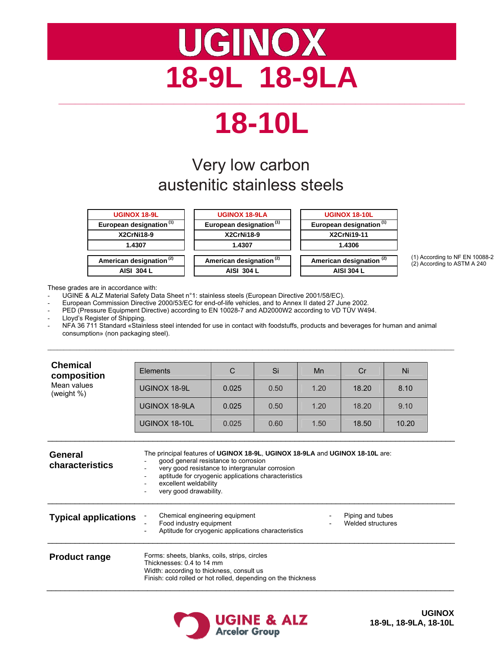# **UGINOX 18-9L 18-9LA \_\_\_\_\_\_\_\_\_\_\_\_\_\_\_\_\_\_\_\_\_\_\_\_\_\_\_\_\_\_\_\_\_\_\_\_\_\_\_\_\_\_\_\_\_\_\_\_\_\_\_\_\_\_\_\_\_\_\_\_\_\_\_\_\_\_\_\_\_\_\_\_\_\_**

# **18-10L**

## Very low carbon austenitic stainless steels



(1) According to NF EN 10088-2 (2) According to ASTM A 240

These grades are in accordance with:

- UGINE & ALZ Material Safety Data Sheet n°1: stainless steels (European Directive 2001/58/EC).
- European Commission Directive 2000/53/EC for end-of-life vehicles, and to Annex II dated 27 June 2002.

PED (Pressure Equipment Directive) according to EN 10028-7 and AD2000W2 according to VD TÜV W494.

Lloyd's Register of Shipping.

NFA 36 711 Standard «Stainless steel intended for use in contact with foodstuffs, products and beverages for human and animal consumption» (non packaging steel).

 $\mathcal{L}_\mathcal{L} = \{ \mathcal{L}_\mathcal{L} = \{ \mathcal{L}_\mathcal{L} = \{ \mathcal{L}_\mathcal{L} = \{ \mathcal{L}_\mathcal{L} = \{ \mathcal{L}_\mathcal{L} = \{ \mathcal{L}_\mathcal{L} = \{ \mathcal{L}_\mathcal{L} = \{ \mathcal{L}_\mathcal{L} = \{ \mathcal{L}_\mathcal{L} = \{ \mathcal{L}_\mathcal{L} = \{ \mathcal{L}_\mathcal{L} = \{ \mathcal{L}_\mathcal{L} = \{ \mathcal{L}_\mathcal{L} = \{ \mathcal{L}_\mathcal{$ 

| <b>Chemical</b><br>composition | Elements                                                                                                                                                                                                                                                                          | C     | Si   | Mn   | Cr    | Ni    |  |  |
|--------------------------------|-----------------------------------------------------------------------------------------------------------------------------------------------------------------------------------------------------------------------------------------------------------------------------------|-------|------|------|-------|-------|--|--|
| Mean values<br>(weight %)      | UGINOX 18-9L                                                                                                                                                                                                                                                                      | 0.025 | 0.50 | 1.20 | 18.20 | 8.10  |  |  |
|                                | UGINOX 18-9LA                                                                                                                                                                                                                                                                     | 0.025 | 0.50 | 1.20 | 18.20 | 9.10  |  |  |
|                                | UGINOX 18-10L                                                                                                                                                                                                                                                                     | 0.025 | 0.60 | 1.50 | 18.50 | 10.20 |  |  |
| General<br>characteristics     | The principal features of UGINOX 18-9L, UGINOX 18-9LA and UGINOX 18-10L are:<br>good general resistance to corrosion<br>very good resistance to intergranular corrosion<br>aptitude for cryogenic applications characteristics<br>excellent weldability<br>very good drawability. |       |      |      |       |       |  |  |
| <b>Typical applications</b>    | Chemical engineering equipment<br>Piping and tubes<br>Food industry equipment<br>Welded structures<br>Aptitude for cryogenic applications characteristics                                                                                                                         |       |      |      |       |       |  |  |

**Product range** Forms: sheets, blanks, coils, strips, circles Thicknesses: 0.4 to 14 mm Width: according to thickness, consult us Finish: cold rolled or hot rolled, depending on the thickness  $\_$  , and the set of the set of the set of the set of the set of the set of the set of the set of the set of the set of the set of the set of the set of the set of the set of the set of the set of the set of the set of th



**UGINOX 18-9L, 18-9LA, 18-10L**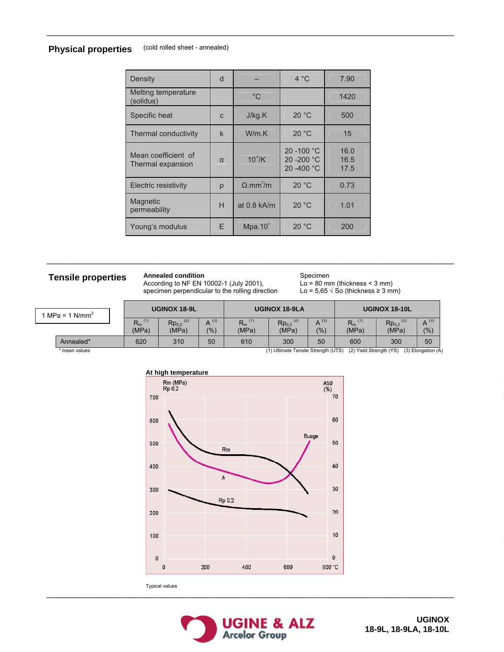## **Physical properties** (cold rolled sheet - annealed)

| Density                                  | d        |                      | $4^{\circ}$ C                            | 7.90                 |
|------------------------------------------|----------|----------------------|------------------------------------------|----------------------|
| Melting temperature<br>(solidus)         |          | $^{\circ}C$          |                                          | 1420                 |
| Specific heat                            | C        | J/kg.K               | 20 °C                                    | 500                  |
| Thermal conductivity                     | k        | W/m.K                | 20 °C                                    | 15                   |
| Mean coefficient of<br>Thermal expansion | $\alpha$ | $10^{\degree}$ /K    | 20 - 100 °C<br>20 - 200 °C<br>20 -400 °C | 16.0<br>16.5<br>17.5 |
| Electric resistivity                     | ρ        | O.mm <sup>2</sup> /m | 20 °C                                    | 0.73                 |
| Magnetic<br>permeability                 | H        | at $0.8$ kA/m        | 20 °C                                    | 1.01                 |
| Young's modulus                          | F        | Mpa.10 <sup>3</sup>  | 20 °C                                    | 200                  |

 $\mathcal{L}_\mathcal{L} = \{ \mathcal{L}_\mathcal{L} = \{ \mathcal{L}_\mathcal{L} = \{ \mathcal{L}_\mathcal{L} = \{ \mathcal{L}_\mathcal{L} = \{ \mathcal{L}_\mathcal{L} = \{ \mathcal{L}_\mathcal{L} = \{ \mathcal{L}_\mathcal{L} = \{ \mathcal{L}_\mathcal{L} = \{ \mathcal{L}_\mathcal{L} = \{ \mathcal{L}_\mathcal{L} = \{ \mathcal{L}_\mathcal{L} = \{ \mathcal{L}_\mathcal{L} = \{ \mathcal{L}_\mathcal{L} = \{ \mathcal{L}_\mathcal{$ 

 $\mathcal{L}_\mathcal{L} = \{ \mathcal{L}_\mathcal{L} = \{ \mathcal{L}_\mathcal{L} = \{ \mathcal{L}_\mathcal{L} = \{ \mathcal{L}_\mathcal{L} = \{ \mathcal{L}_\mathcal{L} = \{ \mathcal{L}_\mathcal{L} = \{ \mathcal{L}_\mathcal{L} = \{ \mathcal{L}_\mathcal{L} = \{ \mathcal{L}_\mathcal{L} = \{ \mathcal{L}_\mathcal{L} = \{ \mathcal{L}_\mathcal{L} = \{ \mathcal{L}_\mathcal{L} = \{ \mathcal{L}_\mathcal{L} = \{ \mathcal{L}_\mathcal{$ 

## **Tensile properties Annealed condition**

According to NF EN 10002-1 (July 2001), specimen perpendicular to the rolling direction

Specimen  $Lo = 80$  mm (thickness < 3 mm) Lo =  $5,65 \sqrt{S}$  (thickness  $\geq 3$  mm)

| 1 MPa = 1 N/mm <sup>2</sup> |             | <b>UGINOX 18-9L</b>   |                                    | <b>UGINOX 18-9LA</b>  |                               |                                     | <b>UGINOX 18-10L</b> |                         |                           |                    |
|-----------------------------|-------------|-----------------------|------------------------------------|-----------------------|-------------------------------|-------------------------------------|----------------------|-------------------------|---------------------------|--------------------|
|                             |             | (1)<br>$R_m$<br>(MPa) | $Rp_{0,2}$ <sup>(2)</sup><br>(MPa) | $\Delta^{(3)}$<br>(%) | $R_m$ <sup>(1)</sup><br>(MPa) | (2)<br>Rp <sub>0,2</sub><br>(MPa)   | (3)<br>(%)           | $R_m^{(1)}$<br>(MPa)    | $Rp_{0,2}^{(2)}$<br>(MPa) | $A^{(3)}$<br>(%)   |
|                             | Annealed*   | 620                   | 310                                | 50                    | 610                           | 300                                 | 50                   | 600                     | 300                       | 50                 |
|                             | mean values |                       |                                    |                       |                               | (1) Ultimate Tensile Strength (UTS) |                      | (2) Yield Strength (YS) |                           | (3) Elongation (A) |





Typical values



 $\mathcal{L}_\mathcal{L} = \{ \mathcal{L}_\mathcal{L} = \{ \mathcal{L}_\mathcal{L} = \{ \mathcal{L}_\mathcal{L} = \{ \mathcal{L}_\mathcal{L} = \{ \mathcal{L}_\mathcal{L} = \{ \mathcal{L}_\mathcal{L} = \{ \mathcal{L}_\mathcal{L} = \{ \mathcal{L}_\mathcal{L} = \{ \mathcal{L}_\mathcal{L} = \{ \mathcal{L}_\mathcal{L} = \{ \mathcal{L}_\mathcal{L} = \{ \mathcal{L}_\mathcal{L} = \{ \mathcal{L}_\mathcal{L} = \{ \mathcal{L}_\mathcal{$